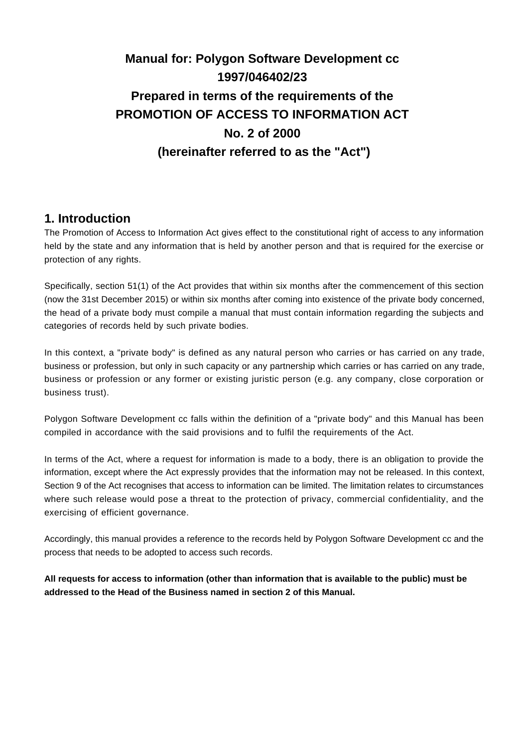# **Manual for: Polygon Software Development cc 1997/046402/23 Prepared in terms of the requirements of the PROMOTION OF ACCESS TO INFORMATION ACT No. 2 of 2000 (hereinafter referred to as the "Act")**

### **1. Introduction**

The Promotion of Access to Information Act gives effect to the constitutional right of access to any information held by the state and any information that is held by another person and that is required for the exercise or protection of any rights.

Specifically, section 51(1) of the Act provides that within six months after the commencement of this section (now the 31st December 2015) or within six months after coming into existence of the private body concerned, the head of a private body must compile a manual that must contain information regarding the subjects and categories of records held by such private bodies.

In this context, a "private body" is defined as any natural person who carries or has carried on any trade, business or profession, but only in such capacity or any partnership which carries or has carried on any trade, business or profession or any former or existing juristic person (e.g. any company, close corporation or business trust).

Polygon Software Development cc falls within the definition of a "private body" and this Manual has been compiled in accordance with the said provisions and to fulfil the requirements of the Act.

In terms of the Act, where a request for information is made to a body, there is an obligation to provide the information, except where the Act expressly provides that the information may not be released. In this context, Section 9 of the Act recognises that access to information can be limited. The limitation relates to circumstances where such release would pose a threat to the protection of privacy, commercial confidentiality, and the exercising of efficient governance.

Accordingly, this manual provides a reference to the records held by Polygon Software Development cc and the process that needs to be adopted to access such records.

**All requests for access to information (other than information that is available to the public) must be addressed to the Head of the Business named in section 2 of this Manual.**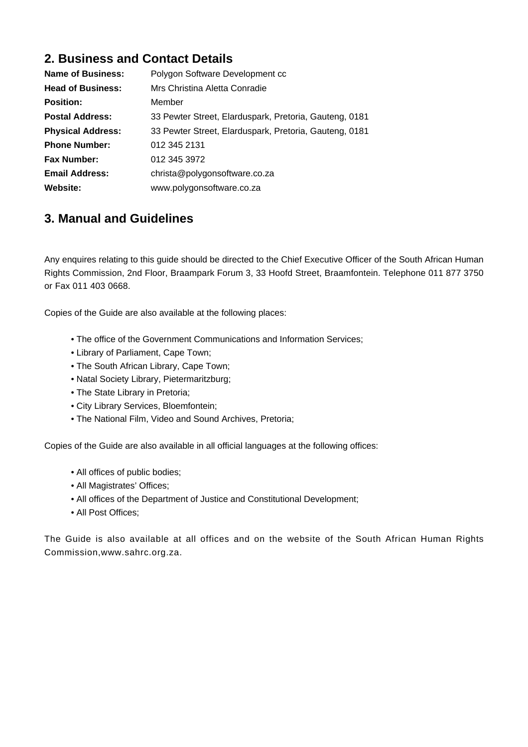# **2. Business and Contact Details**

| <b>Name of Business:</b> | Polygon Software Development cc                        |
|--------------------------|--------------------------------------------------------|
| <b>Head of Business:</b> | Mrs Christina Aletta Conradie                          |
| <b>Position:</b>         | Member                                                 |
| <b>Postal Address:</b>   | 33 Pewter Street, Elarduspark, Pretoria, Gauteng, 0181 |
| <b>Physical Address:</b> | 33 Pewter Street, Elarduspark, Pretoria, Gauteng, 0181 |
| <b>Phone Number:</b>     | 012 345 2131                                           |
| <b>Fax Number:</b>       | 012 345 3972                                           |
| <b>Email Address:</b>    | christa@polygonsoftware.co.za                          |
| Website:                 | www.polygonsoftware.co.za                              |

### **3. Manual and Guidelines**

Any enquires relating to this guide should be directed to the Chief Executive Officer of the South African Human Rights Commission, 2nd Floor, Braampark Forum 3, 33 Hoofd Street, Braamfontein. Telephone 011 877 3750 or Fax 011 403 0668.

Copies of the Guide are also available at the following places:

- The office of the Government Communications and Information Services;
- Library of Parliament, Cape Town;
- The South African Library, Cape Town;
- Natal Society Library, Pietermaritzburg;
- The State Library in Pretoria;
- City Library Services, Bloemfontein;
- The National Film, Video and Sound Archives, Pretoria;

Copies of the Guide are also available in all official languages at the following offices:

- All offices of public bodies;
- All Magistrates' Offices;
- All offices of the Department of Justice and Constitutional Development;
- All Post Offices;

The Guide is also available at all offices and on the website of the South African Human Rights Commission,www.sahrc.org.za.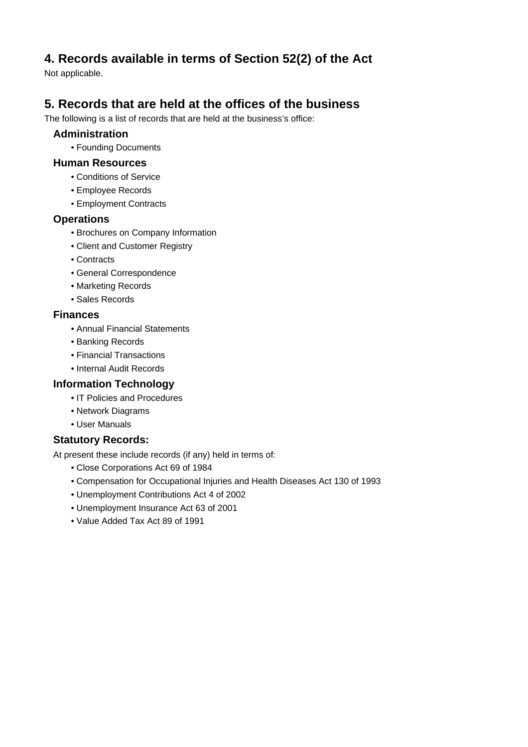# **4. Records available in terms of Section 52(2) of the Act**

Not applicable.

# **5. Records that are held at the offices of the business**

The following is a list of records that are held at the business's office:

#### **Administration**

• Founding Documents

#### **Human Resources**

- Conditions of Service
- Employee Records
- Employment Contracts

#### **Operations**

- Brochures on Company Information
- Client and Customer Registry
- Contracts
- General Correspondence
- Marketing Records
- Sales Records

#### **Finances**

- Annual Financial Statements
- Banking Records
- Financial Transactions
- Internal Audit Records

#### **Information Technology**

- IT Policies and Procedures
- Network Diagrams
- User Manuals

#### **Statutory Records:**

At present these include records (if any) held in terms of:

- Close Corporations Act 69 of 1984
- Compensation for Occupational Injuries and Health Diseases Act 130 of 1993
- Unemployment Contributions Act 4 of 2002
- Unemployment Insurance Act 63 of 2001
- Value Added Tax Act 89 of 1991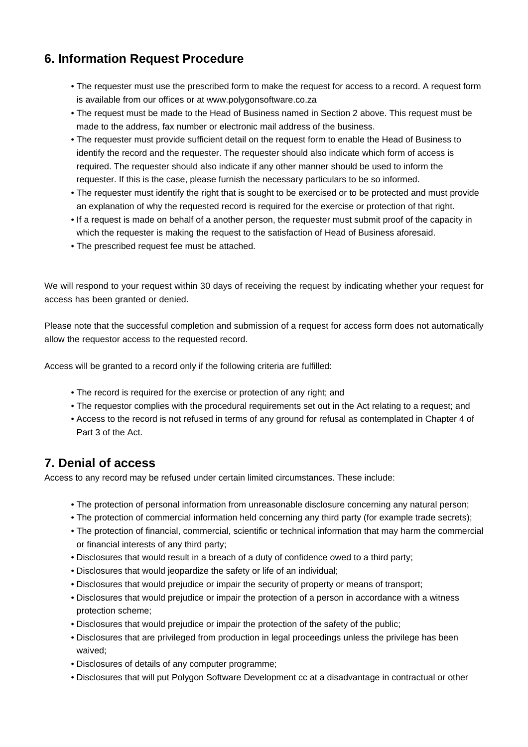# **6. Information Request Procedure**

- The requester must use the prescribed form to make the request for access to a record. A request form is available from our offices or at www.polygonsoftware.co.za
- The request must be made to the Head of Business named in Section 2 above. This request must be made to the address, fax number or electronic mail address of the business.
- The requester must provide sufficient detail on the request form to enable the Head of Business to identify the record and the requester. The requester should also indicate which form of access is required. The requester should also indicate if any other manner should be used to inform the requester. If this is the case, please furnish the necessary particulars to be so informed.
- The requester must identify the right that is sought to be exercised or to be protected and must provide an explanation of why the requested record is required for the exercise or protection of that right.
- If a request is made on behalf of a another person, the requester must submit proof of the capacity in which the requester is making the request to the satisfaction of Head of Business aforesaid.
- The prescribed request fee must be attached.

We will respond to your request within 30 days of receiving the request by indicating whether your request for access has been granted or denied.

Please note that the successful completion and submission of a request for access form does not automatically allow the requestor access to the requested record.

Access will be granted to a record only if the following criteria are fulfilled:

- The record is required for the exercise or protection of any right; and
- The requestor complies with the procedural requirements set out in the Act relating to a request; and
- Access to the record is not refused in terms of any ground for refusal as contemplated in Chapter 4 of Part 3 of the Act.

### **7. Denial of access**

Access to any record may be refused under certain limited circumstances. These include:

- The protection of personal information from unreasonable disclosure concerning any natural person;
- The protection of commercial information held concerning any third party (for example trade secrets);
- The protection of financial, commercial, scientific or technical information that may harm the commercial or financial interests of any third party;
- Disclosures that would result in a breach of a duty of confidence owed to a third party;
- Disclosures that would jeopardize the safety or life of an individual;
- Disclosures that would prejudice or impair the security of property or means of transport;
- Disclosures that would prejudice or impair the protection of a person in accordance with a witness protection scheme;
- Disclosures that would prejudice or impair the protection of the safety of the public;
- Disclosures that are privileged from production in legal proceedings unless the privilege has been waived;
- Disclosures of details of any computer programme;
- Disclosures that will put Polygon Software Development cc at a disadvantage in contractual or other